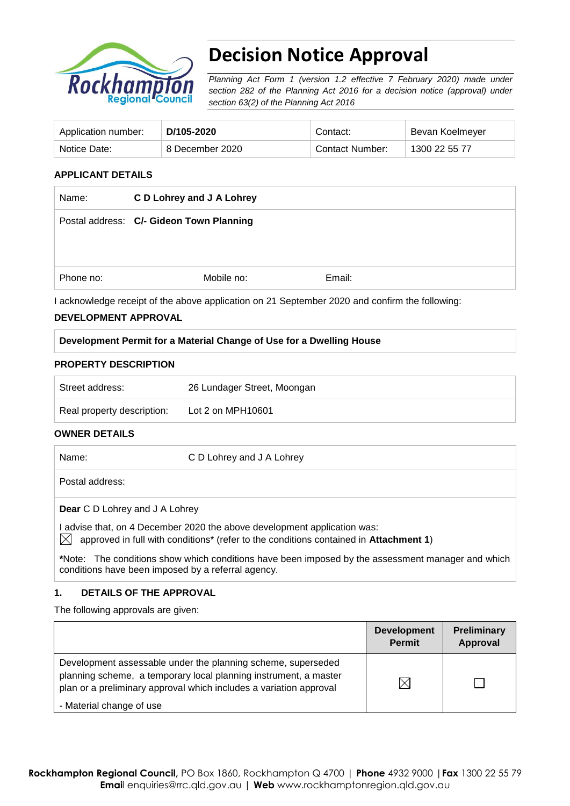

# **Decision Notice Approval**

*Planning Act Form 1 (version 1.2 effective 7 February 2020) made under section 282 of the Planning Act 2016 for a decision notice (approval) under section 63(2) of the Planning Act 2016*

| Application number: | D/105-2020      | Contact:        | Bevan Koelmeyer |
|---------------------|-----------------|-----------------|-----------------|
| Notice Date:        | 8 December 2020 | Contact Number: | 1300 22 55 77   |

# **APPLICANT DETAILS**

| Name:     | C D Lohrey and J A Lohrey                |        |
|-----------|------------------------------------------|--------|
|           | Postal address: C/- Gideon Town Planning |        |
|           |                                          |        |
|           |                                          |        |
| Phone no: | Mobile no:                               | Email: |

I acknowledge receipt of the above application on 21 September 2020 and confirm the following:

### **DEVELOPMENT APPROVAL**

# **Development Permit for a Material Change of Use for a Dwelling House**

### **PROPERTY DESCRIPTION**

| Street address:            | 26 Lundager Street, Moongan |  |
|----------------------------|-----------------------------|--|
| Real property description: | Lot 2 on MPH10601           |  |

# **OWNER DETAILS**

| Name: | C D Lohrey and J A Lohrey |
|-------|---------------------------|
|       |                           |

Postal address:

**Dear** C D Lohrey and J A Lohrey

I advise that, on 4 December 2020 the above development application was:

 $\boxtimes$  approved in full with conditions<sup>\*</sup> (refer to the conditions contained in Attachment 1)

**\***Note:The conditions show which conditions have been imposed by the assessment manager and which conditions have been imposed by a referral agency.

### **1. DETAILS OF THE APPROVAL**

The following approvals are given:

|                                                                                                                                                                                                        | <b>Development</b><br><b>Permit</b> | <b>Preliminary</b><br><b>Approval</b> |
|--------------------------------------------------------------------------------------------------------------------------------------------------------------------------------------------------------|-------------------------------------|---------------------------------------|
| Development assessable under the planning scheme, superseded<br>planning scheme, a temporary local planning instrument, a master<br>plan or a preliminary approval which includes a variation approval | $\times$                            |                                       |
| - Material change of use                                                                                                                                                                               |                                     |                                       |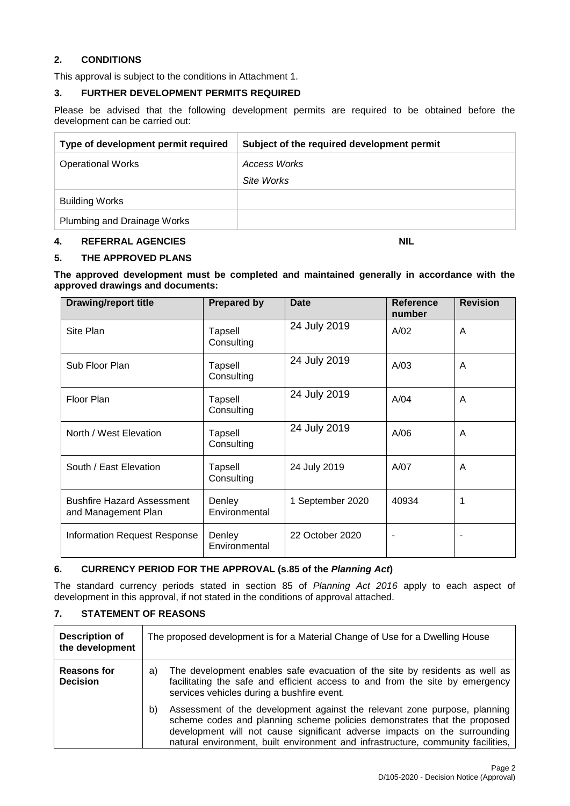# **2. CONDITIONS**

This approval is subject to the conditions in Attachment 1.

### **3. FURTHER DEVELOPMENT PERMITS REQUIRED**

Please be advised that the following development permits are required to be obtained before the development can be carried out:

| Type of development permit required | Subject of the required development permit |
|-------------------------------------|--------------------------------------------|
| <b>Operational Works</b>            | Access Works                               |
|                                     | Site Works                                 |
| <b>Building Works</b>               |                                            |
| Plumbing and Drainage Works         |                                            |

#### **4. REFERRAL AGENCIES NIL**

#### **5. THE APPROVED PLANS**

**The approved development must be completed and maintained generally in accordance with the approved drawings and documents:**

| <b>Drawing/report title</b>                              | <b>Prepared by</b>      | <b>Date</b>      | <b>Reference</b><br>number | <b>Revision</b> |
|----------------------------------------------------------|-------------------------|------------------|----------------------------|-----------------|
| Site Plan                                                | Tapsell<br>Consulting   | 24 July 2019     | A/02                       | A               |
| Sub Floor Plan                                           | Tapsell<br>Consulting   | 24 July 2019     | A/03                       | A               |
| Floor Plan                                               | Tapsell<br>Consulting   | 24 July 2019     | A/04                       | A               |
| North / West Elevation                                   | Tapsell<br>Consulting   | 24 July 2019     | A/06                       | A               |
| South / East Elevation                                   | Tapsell<br>Consulting   | 24 July 2019     | A/07                       | A               |
| <b>Bushfire Hazard Assessment</b><br>and Management Plan | Denley<br>Environmental | 1 September 2020 | 40934                      |                 |
| <b>Information Request Response</b>                      | Denley<br>Environmental | 22 October 2020  |                            |                 |

### **6. CURRENCY PERIOD FOR THE APPROVAL (s.85 of the** *Planning Act***)**

The standard currency periods stated in section 85 of *Planning Act 2016* apply to each aspect of development in this approval, if not stated in the conditions of approval attached.

# **7. STATEMENT OF REASONS**

| <b>Description of</b><br>the development | The proposed development is for a Material Change of Use for a Dwelling House                                                                                                                                                                                                                                                |
|------------------------------------------|------------------------------------------------------------------------------------------------------------------------------------------------------------------------------------------------------------------------------------------------------------------------------------------------------------------------------|
| <b>Reasons for</b><br><b>Decision</b>    | The development enables safe evacuation of the site by residents as well as<br>a)<br>facilitating the safe and efficient access to and from the site by emergency<br>services vehicles during a bushfire event.                                                                                                              |
|                                          | Assessment of the development against the relevant zone purpose, planning<br>b)<br>scheme codes and planning scheme policies demonstrates that the proposed<br>development will not cause significant adverse impacts on the surrounding<br>natural environment, built environment and infrastructure, community facilities, |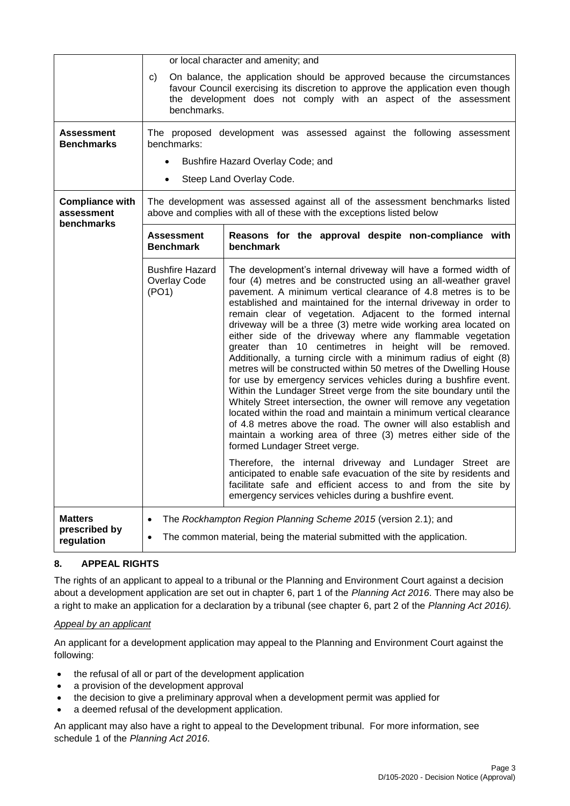|                                                    | or local character and amenity; and                                                                                                                                                                                                                  |                                                                                                                                                                                                                                                                                                                                                                                                                                                                                                                                                                                                                                                                                                                                                                                                                                                                                                                                                                                                                                                                                                                                    |  |  |
|----------------------------------------------------|------------------------------------------------------------------------------------------------------------------------------------------------------------------------------------------------------------------------------------------------------|------------------------------------------------------------------------------------------------------------------------------------------------------------------------------------------------------------------------------------------------------------------------------------------------------------------------------------------------------------------------------------------------------------------------------------------------------------------------------------------------------------------------------------------------------------------------------------------------------------------------------------------------------------------------------------------------------------------------------------------------------------------------------------------------------------------------------------------------------------------------------------------------------------------------------------------------------------------------------------------------------------------------------------------------------------------------------------------------------------------------------------|--|--|
|                                                    | On balance, the application should be approved because the circumstances<br>C)<br>favour Council exercising its discretion to approve the application even though<br>the development does not comply with an aspect of the assessment<br>benchmarks. |                                                                                                                                                                                                                                                                                                                                                                                                                                                                                                                                                                                                                                                                                                                                                                                                                                                                                                                                                                                                                                                                                                                                    |  |  |
| <b>Assessment</b><br><b>Benchmarks</b>             | benchmarks:                                                                                                                                                                                                                                          | The proposed development was assessed against the following assessment                                                                                                                                                                                                                                                                                                                                                                                                                                                                                                                                                                                                                                                                                                                                                                                                                                                                                                                                                                                                                                                             |  |  |
|                                                    |                                                                                                                                                                                                                                                      | Bushfire Hazard Overlay Code; and                                                                                                                                                                                                                                                                                                                                                                                                                                                                                                                                                                                                                                                                                                                                                                                                                                                                                                                                                                                                                                                                                                  |  |  |
|                                                    | $\bullet$                                                                                                                                                                                                                                            | Steep Land Overlay Code.                                                                                                                                                                                                                                                                                                                                                                                                                                                                                                                                                                                                                                                                                                                                                                                                                                                                                                                                                                                                                                                                                                           |  |  |
| <b>Compliance with</b><br>assessment<br>benchmarks |                                                                                                                                                                                                                                                      | The development was assessed against all of the assessment benchmarks listed<br>above and complies with all of these with the exceptions listed below                                                                                                                                                                                                                                                                                                                                                                                                                                                                                                                                                                                                                                                                                                                                                                                                                                                                                                                                                                              |  |  |
|                                                    | <b>Assessment</b><br><b>Benchmark</b>                                                                                                                                                                                                                | Reasons for the approval despite non-compliance with<br>benchmark                                                                                                                                                                                                                                                                                                                                                                                                                                                                                                                                                                                                                                                                                                                                                                                                                                                                                                                                                                                                                                                                  |  |  |
|                                                    | <b>Bushfire Hazard</b><br>Overlay Code<br>(PO1)                                                                                                                                                                                                      | The development's internal driveway will have a formed width of<br>four (4) metres and be constructed using an all-weather gravel<br>pavement. A minimum vertical clearance of 4.8 metres is to be<br>established and maintained for the internal driveway in order to<br>remain clear of vegetation. Adjacent to the formed internal<br>driveway will be a three (3) metre wide working area located on<br>either side of the driveway where any flammable vegetation<br>greater than 10 centimetres in height will be removed.<br>Additionally, a turning circle with a minimum radius of eight (8)<br>metres will be constructed within 50 metres of the Dwelling House<br>for use by emergency services vehicles during a bushfire event.<br>Within the Lundager Street verge from the site boundary until the<br>Whitely Street intersection, the owner will remove any vegetation<br>located within the road and maintain a minimum vertical clearance<br>of 4.8 metres above the road. The owner will also establish and<br>maintain a working area of three (3) metres either side of the<br>formed Lundager Street verge. |  |  |
|                                                    |                                                                                                                                                                                                                                                      | Therefore, the internal driveway and Lundager Street are<br>anticipated to enable safe evacuation of the site by residents and<br>facilitate safe and efficient access to and from the site by<br>emergency services vehicles during a bushfire event.                                                                                                                                                                                                                                                                                                                                                                                                                                                                                                                                                                                                                                                                                                                                                                                                                                                                             |  |  |
| <b>Matters</b><br>prescribed by<br>regulation      | $\bullet$<br>$\bullet$                                                                                                                                                                                                                               | The Rockhampton Region Planning Scheme 2015 (version 2.1); and<br>The common material, being the material submitted with the application.                                                                                                                                                                                                                                                                                                                                                                                                                                                                                                                                                                                                                                                                                                                                                                                                                                                                                                                                                                                          |  |  |

# **8. APPEAL RIGHTS**

The rights of an applicant to appeal to a tribunal or the Planning and Environment Court against a decision about a development application are set out in chapter 6, part 1 of the *Planning Act 2016*. There may also be a right to make an application for a declaration by a tribunal (see chapter 6, part 2 of the *Planning Act 2016).*

# *Appeal by an applicant*

An applicant for a development application may appeal to the Planning and Environment Court against the following:

- the refusal of all or part of the development application
- a provision of the development approval
- the decision to give a preliminary approval when a development permit was applied for
- a deemed refusal of the development application.

An applicant may also have a right to appeal to the Development tribunal. For more information, see schedule 1 of the *Planning Act 2016*.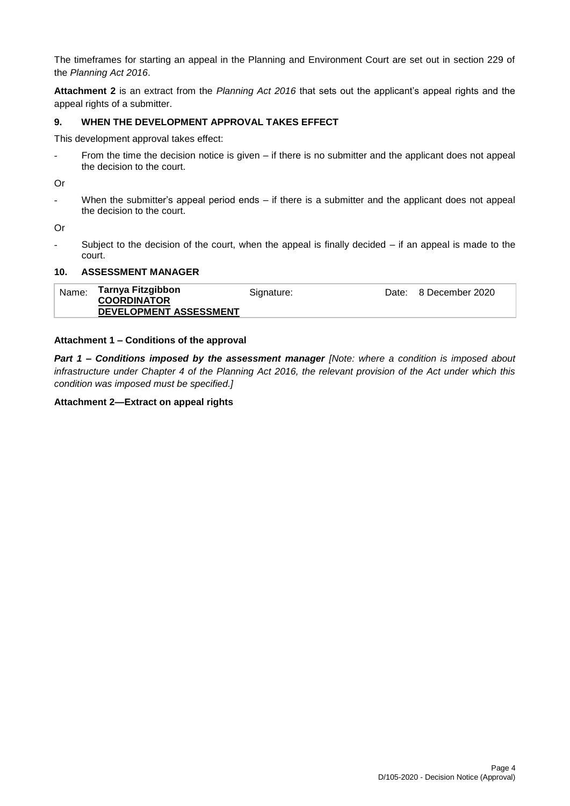The timeframes for starting an appeal in the Planning and Environment Court are set out in section 229 of the *Planning Act 2016*.

**Attachment 2** is an extract from the *Planning Act 2016* that sets out the applicant's appeal rights and the appeal rights of a submitter.

### **9. WHEN THE DEVELOPMENT APPROVAL TAKES EFFECT**

This development approval takes effect:

- From the time the decision notice is given – if there is no submitter and the applicant does not appeal the decision to the court.

Or

- When the submitter's appeal period ends – if there is a submitter and the applicant does not appeal the decision to the court.

Or

Subject to the decision of the court, when the appeal is finally decided  $-$  if an appeal is made to the court.

### **10. ASSESSMENT MANAGER**

| Name: | Tarnya Fitzgibbon<br><b>COORDINATOR</b> | Signature: | Date: 8 December 2020 |
|-------|-----------------------------------------|------------|-----------------------|
|       | DEVELOPMENT ASSESSMENT                  |            |                       |

#### **Attachment 1 – Conditions of the approval**

*Part 1* **–** *Conditions imposed by the assessment manager [Note: where a condition is imposed about infrastructure under Chapter 4 of the Planning Act 2016, the relevant provision of the Act under which this condition was imposed must be specified.]*

#### **Attachment 2—Extract on appeal rights**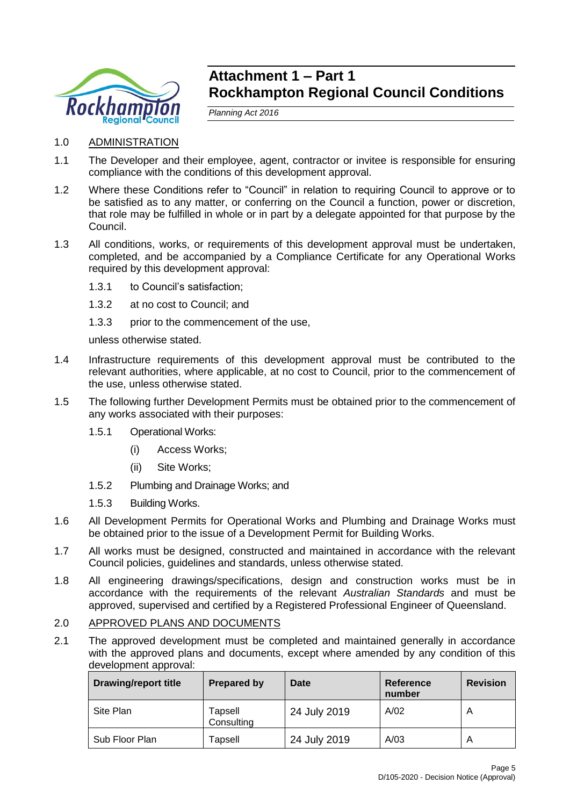

# **Attachment 1 – Part 1 Rockhampton Regional Council Conditions**

*Planning Act 2016*

- 1.0 ADMINISTRATION
- 1.1 The Developer and their employee, agent, contractor or invitee is responsible for ensuring compliance with the conditions of this development approval.
- 1.2 Where these Conditions refer to "Council" in relation to requiring Council to approve or to be satisfied as to any matter, or conferring on the Council a function, power or discretion, that role may be fulfilled in whole or in part by a delegate appointed for that purpose by the Council.
- 1.3 All conditions, works, or requirements of this development approval must be undertaken, completed, and be accompanied by a Compliance Certificate for any Operational Works required by this development approval:
	- 1.3.1 to Council's satisfaction;
	- 1.3.2 at no cost to Council; and
	- 1.3.3 prior to the commencement of the use,

unless otherwise stated.

- 1.4 Infrastructure requirements of this development approval must be contributed to the relevant authorities, where applicable, at no cost to Council, prior to the commencement of the use, unless otherwise stated.
- 1.5 The following further Development Permits must be obtained prior to the commencement of any works associated with their purposes:
	- 1.5.1 Operational Works:
		- (i) Access Works;
		- (ii) Site Works;
	- 1.5.2 Plumbing and Drainage Works; and
	- 1.5.3 Building Works.
- 1.6 All Development Permits for Operational Works and Plumbing and Drainage Works must be obtained prior to the issue of a Development Permit for Building Works.
- 1.7 All works must be designed, constructed and maintained in accordance with the relevant Council policies, guidelines and standards, unless otherwise stated.
- 1.8 All engineering drawings/specifications, design and construction works must be in accordance with the requirements of the relevant *Australian Standards* and must be approved, supervised and certified by a Registered Professional Engineer of Queensland.
- 2.0 APPROVED PLANS AND DOCUMENTS
- 2.1 The approved development must be completed and maintained generally in accordance with the approved plans and documents, except where amended by any condition of this development approval:

| <b>Drawing/report title</b> | <b>Prepared by</b>    | Date         | <b>Reference</b><br>number | <b>Revision</b> |
|-----------------------------|-----------------------|--------------|----------------------------|-----------------|
| Site Plan                   | Tapsell<br>Consulting | 24 July 2019 | A/02                       | A               |
| Sub Floor Plan              | Tapsell               | 24 July 2019 | A/03                       | A               |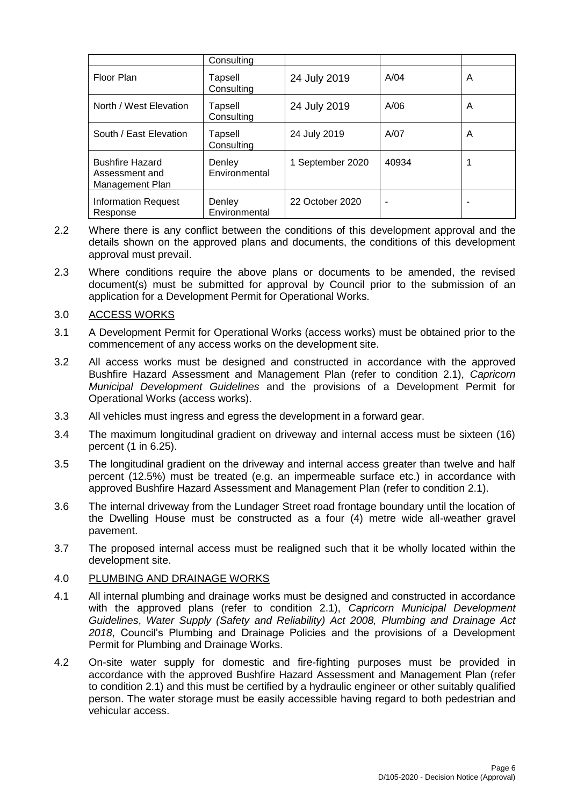|                                                             | Consulting              |                  |       |   |
|-------------------------------------------------------------|-------------------------|------------------|-------|---|
| Floor Plan                                                  | Tapsell<br>Consulting   | 24 July 2019     | A/04  | A |
| North / West Elevation                                      | Tapsell<br>Consulting   | 24 July 2019     | A/06  | A |
| South / East Elevation                                      | Tapsell<br>Consulting   | 24 July 2019     | A/07  | A |
| <b>Bushfire Hazard</b><br>Assessment and<br>Management Plan | Denley<br>Environmental | 1 September 2020 | 40934 |   |
| <b>Information Request</b><br>Response                      | Denley<br>Environmental | 22 October 2020  | -     |   |

- 2.2 Where there is any conflict between the conditions of this development approval and the details shown on the approved plans and documents, the conditions of this development approval must prevail.
- 2.3 Where conditions require the above plans or documents to be amended, the revised document(s) must be submitted for approval by Council prior to the submission of an application for a Development Permit for Operational Works.

# 3.0 ACCESS WORKS

- 3.1 A Development Permit for Operational Works (access works) must be obtained prior to the commencement of any access works on the development site.
- 3.2 All access works must be designed and constructed in accordance with the approved Bushfire Hazard Assessment and Management Plan (refer to condition 2.1), *Capricorn Municipal Development Guidelines* and the provisions of a Development Permit for Operational Works (access works).
- 3.3 All vehicles must ingress and egress the development in a forward gear.
- 3.4 The maximum longitudinal gradient on driveway and internal access must be sixteen (16) percent (1 in 6.25).
- 3.5 The longitudinal gradient on the driveway and internal access greater than twelve and half percent (12.5%) must be treated (e.g. an impermeable surface etc.) in accordance with approved Bushfire Hazard Assessment and Management Plan (refer to condition 2.1).
- 3.6 The internal driveway from the Lundager Street road frontage boundary until the location of the Dwelling House must be constructed as a four (4) metre wide all-weather gravel pavement.
- 3.7 The proposed internal access must be realigned such that it be wholly located within the development site.

### 4.0 PLUMBING AND DRAINAGE WORKS

- 4.1 All internal plumbing and drainage works must be designed and constructed in accordance with the approved plans (refer to condition 2.1), *Capricorn Municipal Development Guidelines*, *Water Supply (Safety and Reliability) Act 2008, Plumbing and Drainage Act 2018*, Council's Plumbing and Drainage Policies and the provisions of a Development Permit for Plumbing and Drainage Works.
- 4.2 On-site water supply for domestic and fire-fighting purposes must be provided in accordance with the approved Bushfire Hazard Assessment and Management Plan (refer to condition 2.1) and this must be certified by a hydraulic engineer or other suitably qualified person. The water storage must be easily accessible having regard to both pedestrian and vehicular access.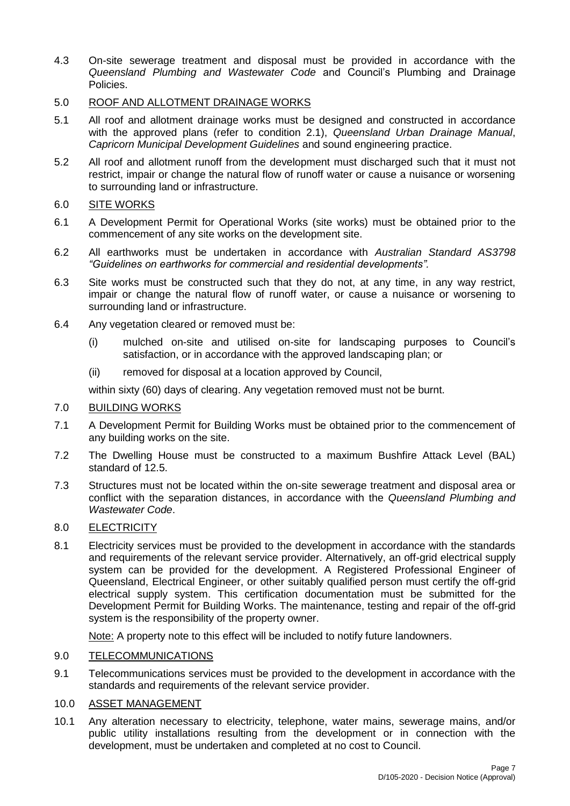4.3 On-site sewerage treatment and disposal must be provided in accordance with the *Queensland Plumbing and Wastewater Code* and Council's Plumbing and Drainage Policies.

# 5.0 ROOF AND ALLOTMENT DRAINAGE WORKS

- 5.1 All roof and allotment drainage works must be designed and constructed in accordance with the approved plans (refer to condition 2.1), *Queensland Urban Drainage Manual*, *Capricorn Municipal Development Guidelines* and sound engineering practice.
- 5.2 All roof and allotment runoff from the development must discharged such that it must not restrict, impair or change the natural flow of runoff water or cause a nuisance or worsening to surrounding land or infrastructure.

# 6.0 SITE WORKS

- 6.1 A Development Permit for Operational Works (site works) must be obtained prior to the commencement of any site works on the development site.
- 6.2 All earthworks must be undertaken in accordance with *Australian Standard AS3798 "Guidelines on earthworks for commercial and residential developments".*
- 6.3 Site works must be constructed such that they do not, at any time, in any way restrict, impair or change the natural flow of runoff water, or cause a nuisance or worsening to surrounding land or infrastructure.
- 6.4 Any vegetation cleared or removed must be:
	- (i) mulched on-site and utilised on-site for landscaping purposes to Council's satisfaction, or in accordance with the approved landscaping plan; or
	- (ii) removed for disposal at a location approved by Council,

within sixty (60) days of clearing. Any vegetation removed must not be burnt.

## 7.0 BUILDING WORKS

- 7.1 A Development Permit for Building Works must be obtained prior to the commencement of any building works on the site.
- 7.2 The Dwelling House must be constructed to a maximum Bushfire Attack Level (BAL) standard of 12.5.
- 7.3 Structures must not be located within the on-site sewerage treatment and disposal area or conflict with the separation distances, in accordance with the *Queensland Plumbing and Wastewater Code*.

### 8.0 ELECTRICITY

8.1 Electricity services must be provided to the development in accordance with the standards and requirements of the relevant service provider. Alternatively, an off-grid electrical supply system can be provided for the development. A Registered Professional Engineer of Queensland, Electrical Engineer, or other suitably qualified person must certify the off-grid electrical supply system. This certification documentation must be submitted for the Development Permit for Building Works. The maintenance, testing and repair of the off-grid system is the responsibility of the property owner.

Note: A property note to this effect will be included to notify future landowners.

### 9.0 TELECOMMUNICATIONS

9.1 Telecommunications services must be provided to the development in accordance with the standards and requirements of the relevant service provider.

# 10.0 ASSET MANAGEMENT

10.1 Any alteration necessary to electricity, telephone, water mains, sewerage mains, and/or public utility installations resulting from the development or in connection with the development, must be undertaken and completed at no cost to Council.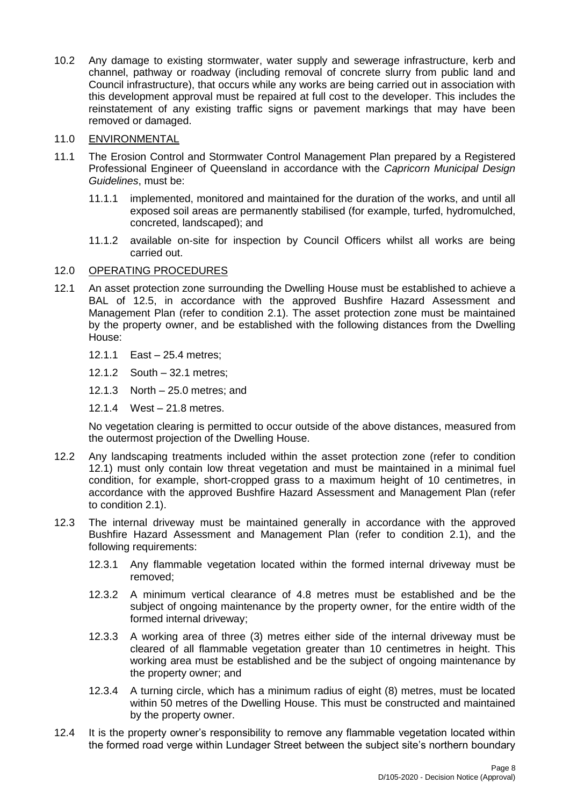10.2 Any damage to existing stormwater, water supply and sewerage infrastructure, kerb and channel, pathway or roadway (including removal of concrete slurry from public land and Council infrastructure), that occurs while any works are being carried out in association with this development approval must be repaired at full cost to the developer. This includes the reinstatement of any existing traffic signs or pavement markings that may have been removed or damaged.

# 11.0 ENVIRONMENTAL

- 11.1 The Erosion Control and Stormwater Control Management Plan prepared by a Registered Professional Engineer of Queensland in accordance with the *Capricorn Municipal Design Guidelines*, must be:
	- 11.1.1 implemented, monitored and maintained for the duration of the works, and until all exposed soil areas are permanently stabilised (for example, turfed, hydromulched, concreted, landscaped); and
	- 11.1.2 available on-site for inspection by Council Officers whilst all works are being carried out.

# 12.0 OPERATING PROCEDURES

- 12.1 An asset protection zone surrounding the Dwelling House must be established to achieve a BAL of 12.5, in accordance with the approved Bushfire Hazard Assessment and Management Plan (refer to condition 2.1). The asset protection zone must be maintained by the property owner, and be established with the following distances from the Dwelling House:
	- 12.1.1 East 25.4 metres;
	- 12.1.2 South 32.1 metres;
	- 12.1.3 North 25.0 metres; and
	- 12.1.4 West 21.8 metres.

No vegetation clearing is permitted to occur outside of the above distances, measured from the outermost projection of the Dwelling House.

- 12.2 Any landscaping treatments included within the asset protection zone (refer to condition 12.1) must only contain low threat vegetation and must be maintained in a minimal fuel condition, for example, short-cropped grass to a maximum height of 10 centimetres, in accordance with the approved Bushfire Hazard Assessment and Management Plan (refer to condition 2.1).
- 12.3 The internal driveway must be maintained generally in accordance with the approved Bushfire Hazard Assessment and Management Plan (refer to condition 2.1), and the following requirements:
	- 12.3.1 Any flammable vegetation located within the formed internal driveway must be removed;
	- 12.3.2 A minimum vertical clearance of 4.8 metres must be established and be the subject of ongoing maintenance by the property owner, for the entire width of the formed internal driveway;
	- 12.3.3 A working area of three (3) metres either side of the internal driveway must be cleared of all flammable vegetation greater than 10 centimetres in height. This working area must be established and be the subject of ongoing maintenance by the property owner; and
	- 12.3.4 A turning circle, which has a minimum radius of eight (8) metres, must be located within 50 metres of the Dwelling House. This must be constructed and maintained by the property owner.
- 12.4 It is the property owner's responsibility to remove any flammable vegetation located within the formed road verge within Lundager Street between the subject site's northern boundary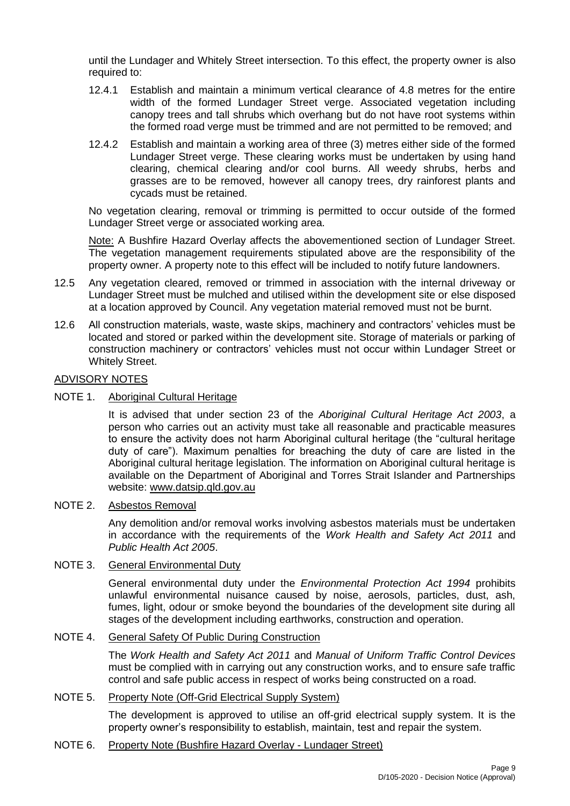until the Lundager and Whitely Street intersection. To this effect, the property owner is also required to:

- 12.4.1 Establish and maintain a minimum vertical clearance of 4.8 metres for the entire width of the formed Lundager Street verge. Associated vegetation including canopy trees and tall shrubs which overhang but do not have root systems within the formed road verge must be trimmed and are not permitted to be removed; and
- 12.4.2 Establish and maintain a working area of three (3) metres either side of the formed Lundager Street verge. These clearing works must be undertaken by using hand clearing, chemical clearing and/or cool burns. All weedy shrubs, herbs and grasses are to be removed, however all canopy trees, dry rainforest plants and cycads must be retained.

No vegetation clearing, removal or trimming is permitted to occur outside of the formed Lundager Street verge or associated working area.

Note: A Bushfire Hazard Overlay affects the abovementioned section of Lundager Street. The vegetation management requirements stipulated above are the responsibility of the property owner. A property note to this effect will be included to notify future landowners.

- 12.5 Any vegetation cleared, removed or trimmed in association with the internal driveway or Lundager Street must be mulched and utilised within the development site or else disposed at a location approved by Council. Any vegetation material removed must not be burnt.
- 12.6 All construction materials, waste, waste skips, machinery and contractors' vehicles must be located and stored or parked within the development site. Storage of materials or parking of construction machinery or contractors' vehicles must not occur within Lundager Street or Whitely Street.

# ADVISORY NOTES

# NOTE 1. Aboriginal Cultural Heritage

It is advised that under section 23 of the *Aboriginal Cultural Heritage Act 2003*, a person who carries out an activity must take all reasonable and practicable measures to ensure the activity does not harm Aboriginal cultural heritage (the "cultural heritage duty of care"). Maximum penalties for breaching the duty of care are listed in the Aboriginal cultural heritage legislation. The information on Aboriginal cultural heritage is available on the Department of Aboriginal and Torres Strait Islander and Partnerships website: [www.datsip.qld.gov.au](http://www.datsip.qld.gov.au/)

# NOTE 2. Asbestos Removal

Any demolition and/or removal works involving asbestos materials must be undertaken in accordance with the requirements of the *Work Health and Safety Act 2011* and *Public Health Act 2005*.

## NOTE 3. General Environmental Duty

General environmental duty under the *Environmental Protection Act 1994* prohibits unlawful environmental nuisance caused by noise, aerosols, particles, dust, ash, fumes, light, odour or smoke beyond the boundaries of the development site during all stages of the development including earthworks, construction and operation.

# NOTE 4. General Safety Of Public During Construction

The *Work Health and Safety Act 2011* and *Manual of Uniform Traffic Control Devices* must be complied with in carrying out any construction works, and to ensure safe traffic control and safe public access in respect of works being constructed on a road.

# NOTE 5. Property Note (Off-Grid Electrical Supply System)

The development is approved to utilise an off-grid electrical supply system. It is the property owner's responsibility to establish, maintain, test and repair the system.

### NOTE 6. Property Note (Bushfire Hazard Overlay - Lundager Street)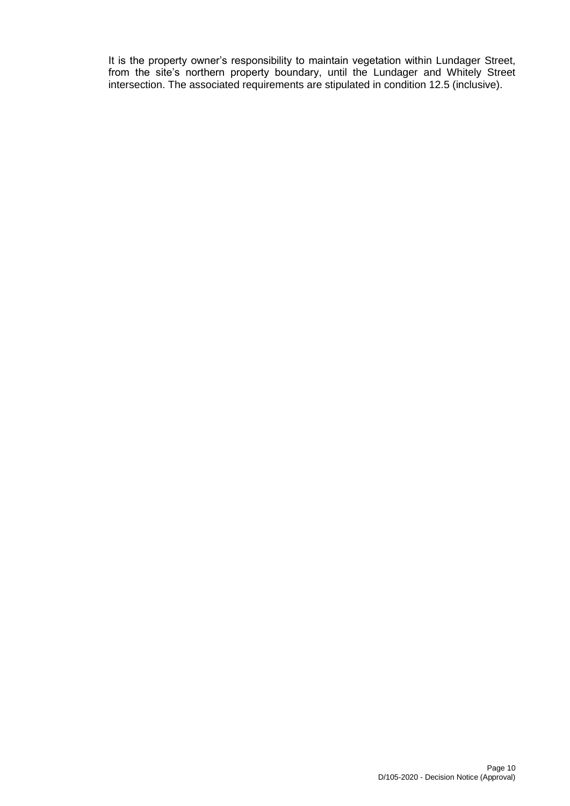It is the property owner's responsibility to maintain vegetation within Lundager Street, from the site's northern property boundary, until the Lundager and Whitely Street intersection. The associated requirements are stipulated in condition 12.5 (inclusive).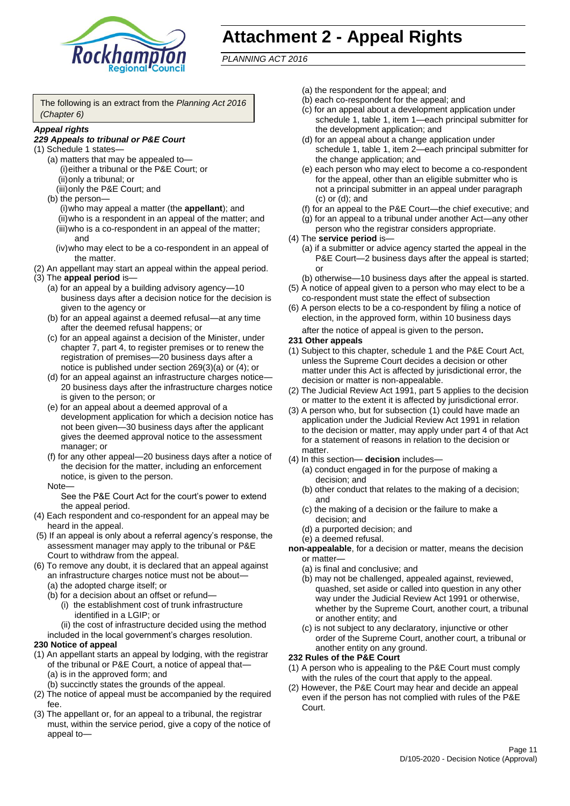

# **Attachment 2 - Appeal Rights**

*PLANNING ACT 2016*

The following is an extract from the *Planning Act 2016 (Chapter 6)*

#### *Appeal rights*

### *229 Appeals to tribunal or P&E Court*

- (1) Schedule 1 states—
	- (a) matters that may be appealed to— (i)either a tribunal or the P&E Court; or (ii)only a tribunal; or
	- (iii)only the P&E Court; and (b) the person—
		- (i)who may appeal a matter (the **appellant**); and (ii)who is a respondent in an appeal of the matter; and (iii)who is a co-respondent in an appeal of the matter; and
		- (iv)who may elect to be a co-respondent in an appeal of the matter.
- (2) An appellant may start an appeal within the appeal period.
- (3) The **appeal period** is—
	- (a) for an appeal by a building advisory agency—10 business days after a decision notice for the decision is given to the agency or
	- (b) for an appeal against a deemed refusal—at any time after the deemed refusal happens; or
	- (c) for an appeal against a decision of the Minister, under chapter 7, part 4, to register premises or to renew the registration of premises—20 business days after a notice is published under section 269(3)(a) or (4); or
	- (d) for an appeal against an infrastructure charges notice— 20 business days after the infrastructure charges notice is given to the person; or
	- (e) for an appeal about a deemed approval of a development application for which a decision notice has not been given—30 business days after the applicant gives the deemed approval notice to the assessment manager; or
	- (f) for any other appeal—20 business days after a notice of the decision for the matter, including an enforcement notice, is given to the person.

#### Note—

See the P&E Court Act for the court's power to extend the appeal period.

- (4) Each respondent and co-respondent for an appeal may be heard in the appeal.
- (5) If an appeal is only about a referral agency's response, the assessment manager may apply to the tribunal or P&E Court to withdraw from the appeal.
- (6) To remove any doubt, it is declared that an appeal against an infrastructure charges notice must not be about—
	- (a) the adopted charge itself; or
	- (b) for a decision about an offset or refund—
		- (i) the establishment cost of trunk infrastructure identified in a LGIP; or
		- (ii) the cost of infrastructure decided using the method
	- included in the local government's charges resolution.
- **230 Notice of appeal**
- (1) An appellant starts an appeal by lodging, with the registrar of the tribunal or P&E Court, a notice of appeal that—
	- (a) is in the approved form; and
	- (b) succinctly states the grounds of the appeal.
- (2) The notice of appeal must be accompanied by the required fee.
- (3) The appellant or, for an appeal to a tribunal, the registrar must, within the service period, give a copy of the notice of appeal to—
- (a) the respondent for the appeal; and
- (b) each co-respondent for the appeal; and
- (c) for an appeal about a development application under schedule 1, table 1, item 1—each principal submitter for the development application; and
- (d) for an appeal about a change application under schedule 1, table 1, item 2—each principal submitter for the change application; and
- (e) each person who may elect to become a co-respondent for the appeal, other than an eligible submitter who is not a principal submitter in an appeal under paragraph (c) or (d); and
- (f) for an appeal to the P&E Court—the chief executive; and
- (g) for an appeal to a tribunal under another Act—any other person who the registrar considers appropriate.
- (4) The **service period** is—
	- (a) if a submitter or advice agency started the appeal in the P&E Court—2 business days after the appeal is started; or
	- (b) otherwise—10 business days after the appeal is started.
- (5) A notice of appeal given to a person who may elect to be a co-respondent must state the effect of subsection
- (6) A person elects to be a co-respondent by filing a notice of election, in the approved form, within 10 business days after the notice of appeal is given to the person*.*
- **231 Other appeals**
- (1) Subject to this chapter, schedule 1 and the P&E Court Act, unless the Supreme Court decides a decision or other matter under this Act is affected by jurisdictional error, the decision or matter is non-appealable.
- (2) The Judicial Review Act 1991, part 5 applies to the decision or matter to the extent it is affected by jurisdictional error.
- (3) A person who, but for subsection (1) could have made an application under the Judicial Review Act 1991 in relation to the decision or matter, may apply under part 4 of that Act for a statement of reasons in relation to the decision or matter.
- (4) In this section— **decision** includes—
	- (a) conduct engaged in for the purpose of making a decision; and
	- (b) other conduct that relates to the making of a decision; and
	- (c) the making of a decision or the failure to make a decision; and
	- (d) a purported decision; and
	- (e) a deemed refusal.

**non-appealable**, for a decision or matter, means the decision or matter—

- (a) is final and conclusive; and
- (b) may not be challenged, appealed against, reviewed, quashed, set aside or called into question in any other way under the Judicial Review Act 1991 or otherwise, whether by the Supreme Court, another court, a tribunal or another entity; and
- (c) is not subject to any declaratory, injunctive or other order of the Supreme Court, another court, a tribunal or another entity on any ground.

#### **232 Rules of the P&E Court**

- (1) A person who is appealing to the P&E Court must comply with the rules of the court that apply to the appeal.
- (2) However, the P&E Court may hear and decide an appeal even if the person has not complied with rules of the P&E Court.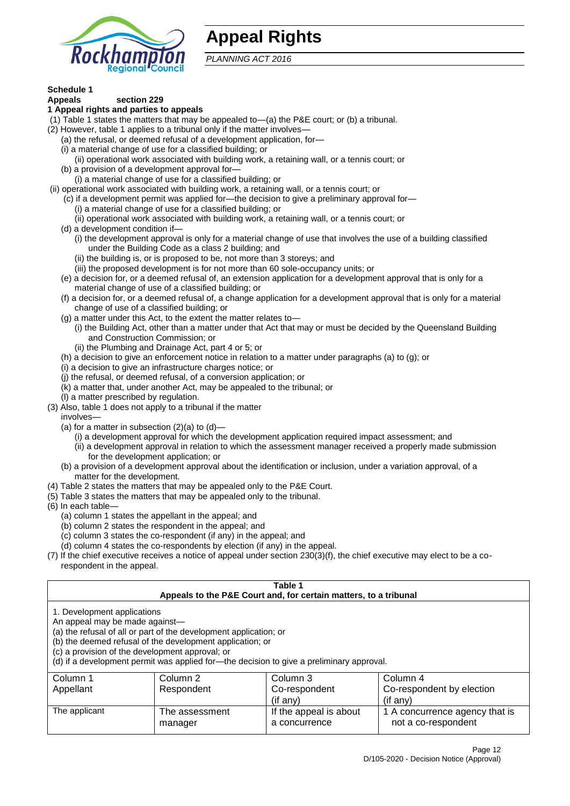

# **Appeal Rights**

*PLANNING ACT 2016*

# **Schedule 1**

#### **Appeals section 229 1 Appeal rights and parties to appeals**

- (1) Table 1 states the matters that may be appealed to—(a) the P&E court; or (b) a tribunal.
- (2) However, table 1 applies to a tribunal only if the matter involves—
	- (a) the refusal, or deemed refusal of a development application, for—
	- (i) a material change of use for a classified building; or
	- (ii) operational work associated with building work, a retaining wall, or a tennis court; or
	- (b) a provision of a development approval for—
	- (i) a material change of use for a classified building; or
- (ii) operational work associated with building work, a retaining wall, or a tennis court; or
	- (c) if a development permit was applied for—the decision to give a preliminary approval for—
		- (i) a material change of use for a classified building; or
	- (ii) operational work associated with building work, a retaining wall, or a tennis court; or
	- (d) a development condition if—
		- (i) the development approval is only for a material change of use that involves the use of a building classified under the Building Code as a class 2 building; and
		- (ii) the building is, or is proposed to be, not more than 3 storeys; and
		- (iii) the proposed development is for not more than 60 sole-occupancy units; or
	- (e) a decision for, or a deemed refusal of, an extension application for a development approval that is only for a material change of use of a classified building; or
	- (f) a decision for, or a deemed refusal of, a change application for a development approval that is only for a material change of use of a classified building; or
	- (g) a matter under this Act, to the extent the matter relates to—
		- (i) the Building Act, other than a matter under that Act that may or must be decided by the Queensland Building and Construction Commission; or
		- (ii) the Plumbing and Drainage Act, part 4 or 5; or
	- (h) a decision to give an enforcement notice in relation to a matter under paragraphs (a) to (g); or
	- (i) a decision to give an infrastructure charges notice; or
	- (j) the refusal, or deemed refusal, of a conversion application; or
	- (k) a matter that, under another Act, may be appealed to the tribunal; or
	- (l) a matter prescribed by regulation.
- (3) Also, table 1 does not apply to a tribunal if the matter

involves—

- (a) for a matter in subsection  $(2)(a)$  to  $(d)$ 
	- (i) a development approval for which the development application required impact assessment; and
	- (ii) a development approval in relation to which the assessment manager received a properly made submission for the development application; or
- (b) a provision of a development approval about the identification or inclusion, under a variation approval, of a matter for the development.
- (4) Table 2 states the matters that may be appealed only to the P&E Court.
- (5) Table 3 states the matters that may be appealed only to the tribunal.
- (6) In each table—
	- (a) column 1 states the appellant in the appeal; and
	- (b) column 2 states the respondent in the appeal; and
	- (c) column 3 states the co-respondent (if any) in the appeal; and
	- (d) column 4 states the co-respondents by election (if any) in the appeal.
- (7) If the chief executive receives a notice of appeal under section 230(3)(f), the chief executive may elect to be a corespondent in the appeal.

| Table 1<br>Appeals to the P&E Court and, for certain matters, to a tribunal                                                                                                                                                                                                                                                                    |                           |                                         |                                                       |  |
|------------------------------------------------------------------------------------------------------------------------------------------------------------------------------------------------------------------------------------------------------------------------------------------------------------------------------------------------|---------------------------|-----------------------------------------|-------------------------------------------------------|--|
| 1. Development applications<br>An appeal may be made against-<br>(a) the refusal of all or part of the development application; or<br>(b) the deemed refusal of the development application; or<br>(c) a provision of the development approval; or<br>(d) if a development permit was applied for-the decision to give a preliminary approval. |                           |                                         |                                                       |  |
| Column 3<br>Column 1<br>Column 2<br>Column 4                                                                                                                                                                                                                                                                                                   |                           |                                         |                                                       |  |
| Appellant                                                                                                                                                                                                                                                                                                                                      | Respondent                | Co-respondent                           | Co-respondent by election                             |  |
|                                                                                                                                                                                                                                                                                                                                                |                           | (if any)                                | $($ if any $)$                                        |  |
| The applicant                                                                                                                                                                                                                                                                                                                                  | The assessment<br>manager | If the appeal is about<br>a concurrence | 1 A concurrence agency that is<br>not a co-respondent |  |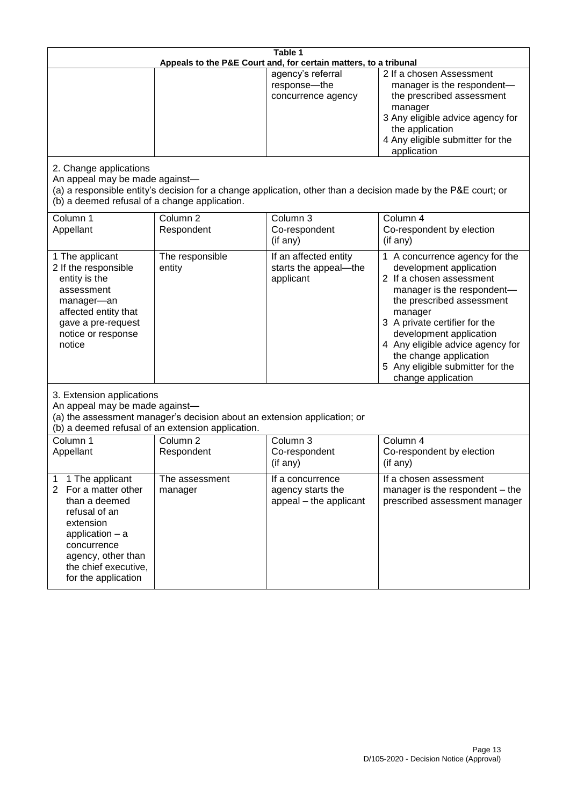|                                                                                                                                                                                                                      | Table 1<br>Appeals to the P&E Court and, for certain matters, to a tribunal                                                   |                                                                 |                                                                                                                                                                                                                                                                                                                                                 |  |
|----------------------------------------------------------------------------------------------------------------------------------------------------------------------------------------------------------------------|-------------------------------------------------------------------------------------------------------------------------------|-----------------------------------------------------------------|-------------------------------------------------------------------------------------------------------------------------------------------------------------------------------------------------------------------------------------------------------------------------------------------------------------------------------------------------|--|
|                                                                                                                                                                                                                      |                                                                                                                               | agency's referral<br>response-the<br>concurrence agency         | 2 If a chosen Assessment<br>manager is the respondent-<br>the prescribed assessment<br>manager<br>3 Any eligible advice agency for<br>the application<br>4 Any eligible submitter for the<br>application                                                                                                                                        |  |
| 2. Change applications<br>An appeal may be made against-<br>(b) a deemed refusal of a change application.                                                                                                            |                                                                                                                               |                                                                 | (a) a responsible entity's decision for a change application, other than a decision made by the P&E court; or                                                                                                                                                                                                                                   |  |
| Column 1<br>Appellant                                                                                                                                                                                                | Column <sub>2</sub><br>Respondent                                                                                             | Column 3<br>Co-respondent<br>(if any)                           | Column 4<br>Co-respondent by election<br>(if any)                                                                                                                                                                                                                                                                                               |  |
| 1 The applicant<br>2 If the responsible<br>entity is the<br>assessment<br>manager-an<br>affected entity that<br>gave a pre-request<br>notice or response<br>notice                                                   | The responsible<br>entity                                                                                                     | If an affected entity<br>starts the appeal-the<br>applicant     | 1 A concurrence agency for the<br>development application<br>2 If a chosen assessment<br>manager is the respondent-<br>the prescribed assessment<br>manager<br>3 A private certifier for the<br>development application<br>4 Any eligible advice agency for<br>the change application<br>5 Any eligible submitter for the<br>change application |  |
| 3. Extension applications<br>An appeal may be made against-                                                                                                                                                          | (a) the assessment manager's decision about an extension application; or<br>(b) a deemed refusal of an extension application. |                                                                 |                                                                                                                                                                                                                                                                                                                                                 |  |
| Column 1<br>Appellant                                                                                                                                                                                                | Column <sub>2</sub><br>Respondent                                                                                             | Column 3<br>Co-respondent<br>(if any)                           | Column 4<br>Co-respondent by election<br>(if any)                                                                                                                                                                                                                                                                                               |  |
| 1 The applicant<br>1<br>$\overline{2}$<br>For a matter other<br>than a deemed<br>refusal of an<br>extension<br>application $-$ a<br>concurrence<br>agency, other than<br>the chief executive,<br>for the application | The assessment<br>manager                                                                                                     | If a concurrence<br>agency starts the<br>appeal - the applicant | If a chosen assessment<br>manager is the respondent – the<br>prescribed assessment manager                                                                                                                                                                                                                                                      |  |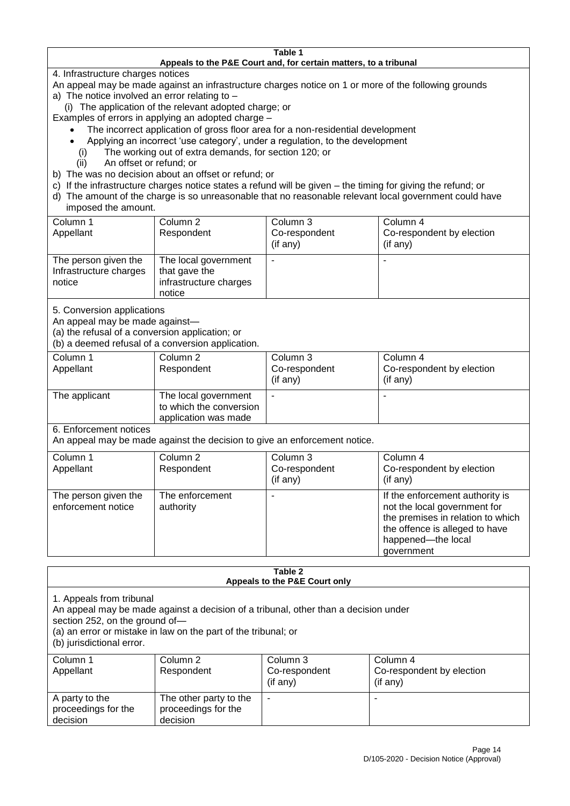#### **Table 1 Appeals to the P&E Court and, for certain matters, to a tribunal**

4. Infrastructure charges notices

- An appeal may be made against an infrastructure charges notice on 1 or more of the following grounds
- a) The notice involved an error relating to
	- (i) The application of the relevant adopted charge; or
- Examples of errors in applying an adopted charge
	- The incorrect application of gross floor area for a non-residential development
	- Applying an incorrect 'use category', under a regulation, to the development
	- (i) The working out of extra demands, for section 120; or
	- (ii) An offset or refund; or
- b) The was no decision about an offset or refund; or
- c) If the infrastructure charges notice states a refund will be given the timing for giving the refund; or
- d) The amount of the charge is so unreasonable that no reasonable relevant local government could have

# imposed the amount.

| Column 1<br>Appellant                                    | Column 2<br>Respondent                                                    | Column 3<br>Co-respondent<br>$($ if any $)$ | Column 4<br>Co-respondent by election<br>(if any) |
|----------------------------------------------------------|---------------------------------------------------------------------------|---------------------------------------------|---------------------------------------------------|
| The person given the<br>Infrastructure charges<br>notice | The local government<br>that gave the<br>infrastructure charges<br>notice | -                                           |                                                   |

5. Conversion applications

An appeal may be made against—

(a) the refusal of a conversion application; or

(b) a deemed refusal of a conversion application.

| Column 1      | Column 2                | Column 3       | Column 4                  |
|---------------|-------------------------|----------------|---------------------------|
| Appellant     | Respondent              | Co-respondent  | Co-respondent by election |
|               |                         | $($ if any $)$ | $($ if any $)$            |
| The applicant | The local government    |                |                           |
|               | to which the conversion |                |                           |
|               | application was made    |                |                           |

6. Enforcement notices

An appeal may be made against the decision to give an enforcement notice.

| Column 1                                   | Column 2                     | Column 3      | Column 4                                                                                                                                                                   |
|--------------------------------------------|------------------------------|---------------|----------------------------------------------------------------------------------------------------------------------------------------------------------------------------|
| Appellant                                  | Respondent                   | Co-respondent | Co-respondent by election                                                                                                                                                  |
|                                            |                              | (if any)      | (if any)                                                                                                                                                                   |
| The person given the<br>enforcement notice | The enforcement<br>authority |               | If the enforcement authority is<br>not the local government for<br>the premises in relation to which<br>the offence is alleged to have<br>happened-the local<br>government |
|                                            |                              |               |                                                                                                                                                                            |

#### **Table 2 Appeals to the P&E Court only**

1. Appeals from tribunal

An appeal may be made against a decision of a tribunal, other than a decision under

section 252, on the ground of—

(a) an error or mistake in law on the part of the tribunal; or

(b) jurisdictional error.

| Column 1<br>Appellant                             | Column 2<br>Respondent                                    | Column 3<br>Co-respondent<br>$($ if any $)$ | Column 4<br>Co-respondent by election<br>(if any) |
|---------------------------------------------------|-----------------------------------------------------------|---------------------------------------------|---------------------------------------------------|
| A party to the<br>proceedings for the<br>decision | The other party to the<br>proceedings for the<br>decision | ۰                                           |                                                   |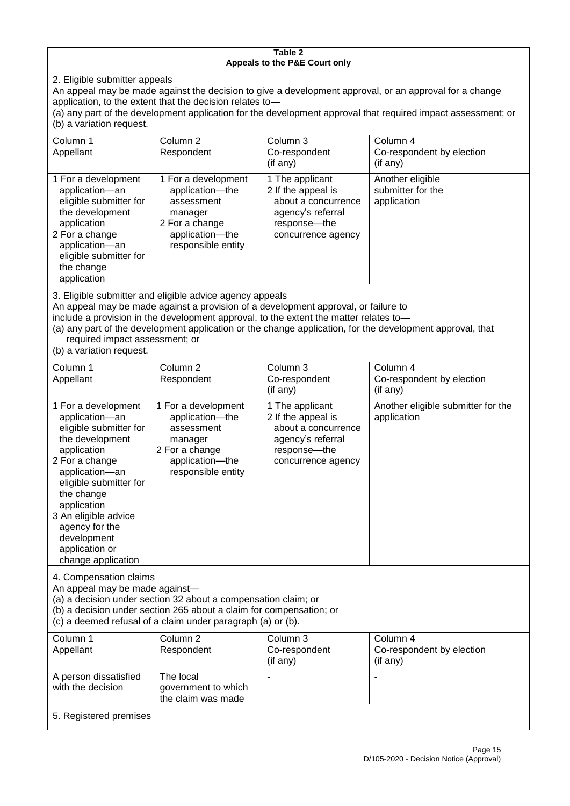#### **Table 2 Appeals to the P&E Court only**

2. Eligible submitter appeals

An appeal may be made against the decision to give a development approval, or an approval for a change application, to the extent that the decision relates to—

(a) any part of the development application for the development approval that required impact assessment; or (b) a variation request.

| Column 1                                                                                                                                                                                                                                                                                                                                                                                                           | Column <sub>2</sub>                                                                                                        | Column 3                                                                                                                  | Column 4                                             |
|--------------------------------------------------------------------------------------------------------------------------------------------------------------------------------------------------------------------------------------------------------------------------------------------------------------------------------------------------------------------------------------------------------------------|----------------------------------------------------------------------------------------------------------------------------|---------------------------------------------------------------------------------------------------------------------------|------------------------------------------------------|
| Appellant                                                                                                                                                                                                                                                                                                                                                                                                          | Respondent                                                                                                                 | Co-respondent                                                                                                             | Co-respondent by election                            |
|                                                                                                                                                                                                                                                                                                                                                                                                                    |                                                                                                                            | (if any)                                                                                                                  | (if any)                                             |
| 1 For a development<br>application-an<br>eligible submitter for<br>the development<br>application<br>2 For a change<br>application-an<br>eligible submitter for<br>the change<br>application                                                                                                                                                                                                                       | 1 For a development<br>application-the<br>assessment<br>manager<br>2 For a change<br>application-the<br>responsible entity | 1 The applicant<br>2 If the appeal is<br>about a concurrence<br>agency's referral<br>response---the<br>concurrence agency | Another eligible<br>submitter for the<br>application |
| 3. Eligible submitter and eligible advice agency appeals<br>An appeal may be made against a provision of a development approval, or failure to<br>include a provision in the development approval, to the extent the matter relates to-<br>(a) any part of the development application or the change application, for the development approval, that<br>required impact assessment; or<br>(b) a variation request. |                                                                                                                            |                                                                                                                           |                                                      |
| Column 1                                                                                                                                                                                                                                                                                                                                                                                                           | Column <sub>2</sub>                                                                                                        | Column 3                                                                                                                  | Column 4                                             |
| Appellant                                                                                                                                                                                                                                                                                                                                                                                                          | Respondent                                                                                                                 | Co-respondent                                                                                                             | Co-respondent by election                            |

| 1 For a development<br>Another eligible submitter for the<br>1 For a development<br>1 The applicant<br>2 If the appeal is<br>application-an<br>application----the<br>application<br>eligible submitter for<br>about a concurrence<br>assessment<br>the development<br>agency's referral<br>manager<br>2 For a change<br>application<br>response---the<br>2 For a change<br>application-the<br>concurrence agency<br>responsible entity<br>application-an<br>eligible submitter for<br>the change<br>application<br>3 An eligible advice<br>agency for the<br>development<br>application or<br>change application | Appellant | Respondent | Co-respondent<br>$($ if any $)$ | Co-respondent by election<br>(if any) |
|------------------------------------------------------------------------------------------------------------------------------------------------------------------------------------------------------------------------------------------------------------------------------------------------------------------------------------------------------------------------------------------------------------------------------------------------------------------------------------------------------------------------------------------------------------------------------------------------------------------|-----------|------------|---------------------------------|---------------------------------------|
|                                                                                                                                                                                                                                                                                                                                                                                                                                                                                                                                                                                                                  |           |            |                                 |                                       |

4. Compensation claims

An appeal may be made against—

(a) a decision under section 32 about a compensation claim; or

(b) a decision under section 265 about a claim for compensation; or

(c) a deemed refusal of a claim under paragraph (a) or (b).

| Column 1               | Column 2            | Column 3      | Column 4                  |
|------------------------|---------------------|---------------|---------------------------|
| Appellant              | Respondent          | Co-respondent | Co-respondent by election |
|                        |                     | (if any)      | (if any)                  |
| A person dissatisfied  | The local           |               |                           |
| with the decision      | government to which |               |                           |
|                        | the claim was made  |               |                           |
| 5. Registered premises |                     |               |                           |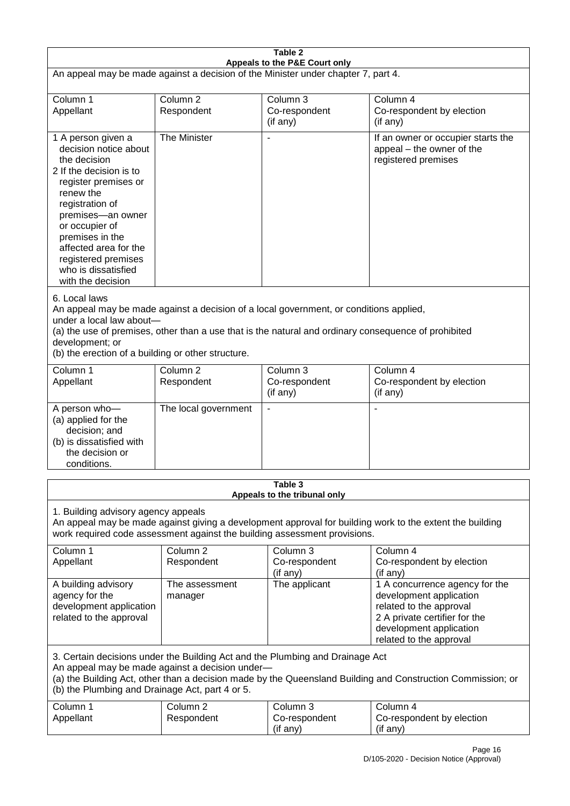| Table 2<br>Appeals to the P&E Court only                                                                                                                                                                                                                                                                             |                                   |                                                                           |                                                                                                                                                                             |
|----------------------------------------------------------------------------------------------------------------------------------------------------------------------------------------------------------------------------------------------------------------------------------------------------------------------|-----------------------------------|---------------------------------------------------------------------------|-----------------------------------------------------------------------------------------------------------------------------------------------------------------------------|
| An appeal may be made against a decision of the Minister under chapter 7, part 4.                                                                                                                                                                                                                                    |                                   |                                                                           |                                                                                                                                                                             |
| Column 1                                                                                                                                                                                                                                                                                                             | Column <sub>2</sub>               | Column 3                                                                  | Column 4                                                                                                                                                                    |
| Appellant                                                                                                                                                                                                                                                                                                            | Respondent                        | Co-respondent<br>(if any)                                                 | Co-respondent by election<br>(if any)                                                                                                                                       |
| 1 A person given a<br>decision notice about<br>the decision<br>2 If the decision is to<br>register premises or<br>renew the<br>registration of<br>premises-an owner<br>or occupier of<br>premises in the<br>affected area for the<br>registered premises<br>who is dissatisfied<br>with the decision                 | The Minister                      |                                                                           | If an owner or occupier starts the<br>appeal – the owner of the<br>registered premises                                                                                      |
| 6. Local laws<br>An appeal may be made against a decision of a local government, or conditions applied,<br>under a local law about-<br>(a) the use of premises, other than a use that is the natural and ordinary consequence of prohibited<br>development; or<br>(b) the erection of a building or other structure. |                                   |                                                                           |                                                                                                                                                                             |
| Column 1<br>Appellant                                                                                                                                                                                                                                                                                                | Column <sub>2</sub><br>Respondent | Column 3<br>Co-respondent<br>(if any)                                     | Column 4<br>Co-respondent by election<br>(if any)                                                                                                                           |
| A person who-<br>(a) applied for the<br>decision; and<br>(b) is dissatisfied with<br>the decision or<br>conditions.                                                                                                                                                                                                  | The local government              | $\blacksquare$                                                            |                                                                                                                                                                             |
|                                                                                                                                                                                                                                                                                                                      |                                   | Table 3<br>Appeals to the tribunal only                                   |                                                                                                                                                                             |
| 1. Building advisory agency appeals                                                                                                                                                                                                                                                                                  |                                   | work required code assessment against the building assessment provisions. | An appeal may be made against giving a development approval for building work to the extent the building                                                                    |
| Column 1<br>Appellant                                                                                                                                                                                                                                                                                                | Column <sub>2</sub><br>Respondent | Column 3<br>Co-respondent<br>(if any)                                     | Column 4<br>Co-respondent by election<br>(if any)                                                                                                                           |
| A building advisory<br>agency for the<br>development application<br>related to the approval                                                                                                                                                                                                                          | The assessment<br>manager         | The applicant                                                             | 1 A concurrence agency for the<br>development application<br>related to the approval<br>2 A private certifier for the<br>development application<br>related to the approval |
| 3. Certain decisions under the Building Act and the Plumbing and Drainage Act<br>An appeal may be made against a decision under-<br>(a) the Building Act, other than a decision made by the Queensland Building and Construction Commission; or<br>(b) the Plumbing and Drainage Act, part 4 or 5.                   |                                   |                                                                           |                                                                                                                                                                             |
| Column 1<br>Appellant                                                                                                                                                                                                                                                                                                | Column <sub>2</sub><br>Respondent | Column 3<br>Co-respondent<br>(if any)                                     | Column 4<br>Co-respondent by election<br>(if any)                                                                                                                           |